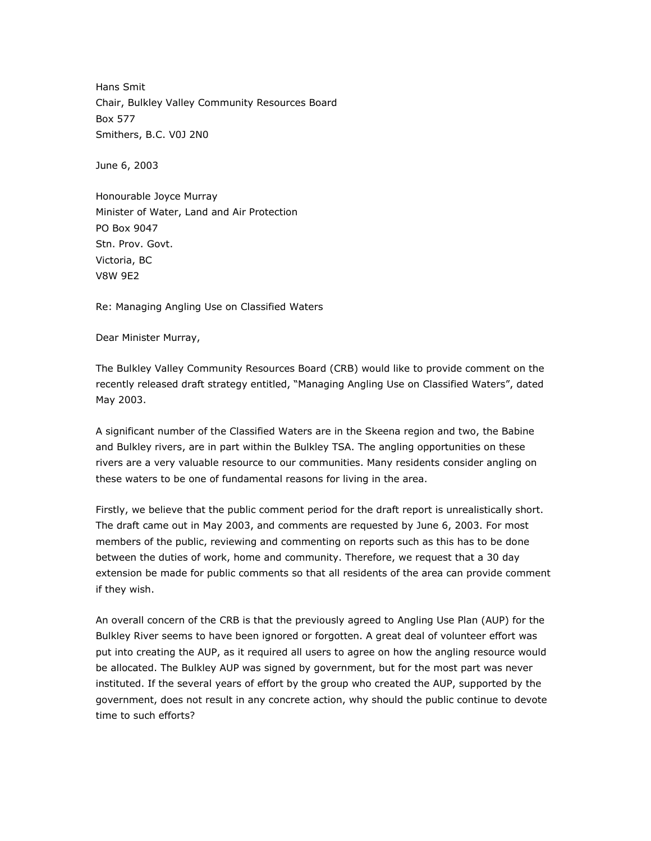Hans Smit Chair, Bulkley Valley Community Resources Board Box 577 Smithers, B.C. V0J 2N0

June 6, 2003

Honourable Joyce Murray Minister of Water, Land and Air Protection PO Box 9047 Stn. Prov. Govt. Victoria, BC V8W 9E2

Re: Managing Angling Use on Classified Waters

Dear Minister Murray,

The Bulkley Valley Community Resources Board (CRB) would like to provide comment on the recently released draft strategy entitled, "Managing Angling Use on Classified Waters", dated May 2003.

A significant number of the Classified Waters are in the Skeena region and two, the Babine and Bulkley rivers, are in part within the Bulkley TSA. The angling opportunities on these rivers are a very valuable resource to our communities. Many residents consider angling on these waters to be one of fundamental reasons for living in the area.

Firstly, we believe that the public comment period for the draft report is unrealistically short. The draft came out in May 2003, and comments are requested by June 6, 2003. For most members of the public, reviewing and commenting on reports such as this has to be done between the duties of work, home and community. Therefore, we request that a 30 day extension be made for public comments so that all residents of the area can provide comment if they wish.

An overall concern of the CRB is that the previously agreed to Angling Use Plan (AUP) for the Bulkley River seems to have been ignored or forgotten. A great deal of volunteer effort was put into creating the AUP, as it required all users to agree on how the angling resource would be allocated. The Bulkley AUP was signed by government, but for the most part was never instituted. If the several years of effort by the group who created the AUP, supported by the government, does not result in any concrete action, why should the public continue to devote time to such efforts?